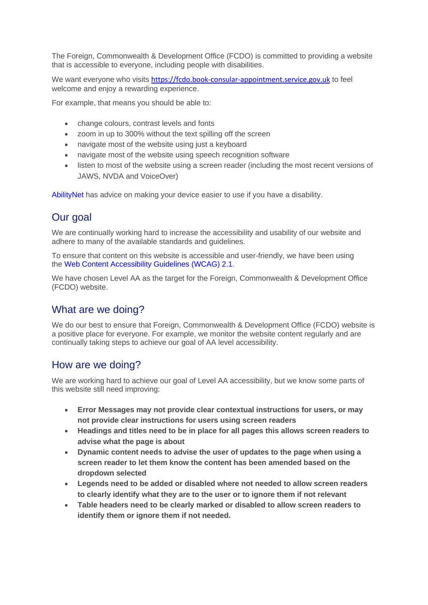The Foreign, Commonwealth & Development Office (FCDO) is committed to providing a website that is accessible to everyone, including people with disabilities.

We want everyone who visits [https://fcdo.book-consular-appointment.service.gov.uk](https://fcdo.book-consular-appointment.service.gov.uk/) to feel welcome and enjoy a rewarding experience.

For example, that means you should be able to:

- change colours, contrast levels and fonts
- zoom in up to 300% without the text spilling off the screen
- navigate most of the website using just a keyboard
- navigate most of the website using speech recognition software
- listen to most of the website using a screen reader (including the most recent versions of JAWS, NVDA and VoiceOver)

[AbilityNet](https://mcmw.abilitynet.org.uk/) has advice on making your device easier to use if you have a disability.

## Our goal

We are continually working hard to increase the accessibility and usability of our website and adhere to many of the available standards and guidelines.

To ensure that content on this website is accessible and user-friendly, we have been using the [Web Content Accessibility Guidelines \(WCAG\) 2.1.](https://www.w3.org/TR/WCAG/)

We have chosen Level AA as the target for the Foreign, Commonwealth & Development Office (FCDO) website.

#### What are we doing?

We do our best to ensure that Foreign, Commonwealth & Development Office (FCDO) website is a positive place for everyone. For example, we monitor the website content regularly and are continually taking steps to achieve our goal of AA level accessibility.

## How are we doing?

We are working hard to achieve our goal of Level AA accessibility, but we know some parts of this website still need improving:

- **Error Messages may not provide clear contextual instructions for users, or may not provide clear instructions for users using screen readers**
- **Headings and titles need to be in place for all pages this allows screen readers to advise what the page is about**
- **Dynamic content needs to advise the user of updates to the page when using a screen reader to let them know the content has been amended based on the dropdown selected**
- **Legends need to be added or disabled where not needed to allow screen readers to clearly identify what they are to the user or to ignore them if not relevant**
- **Table headers need to be clearly marked or disabled to allow screen readers to identify them or ignore them if not needed.**